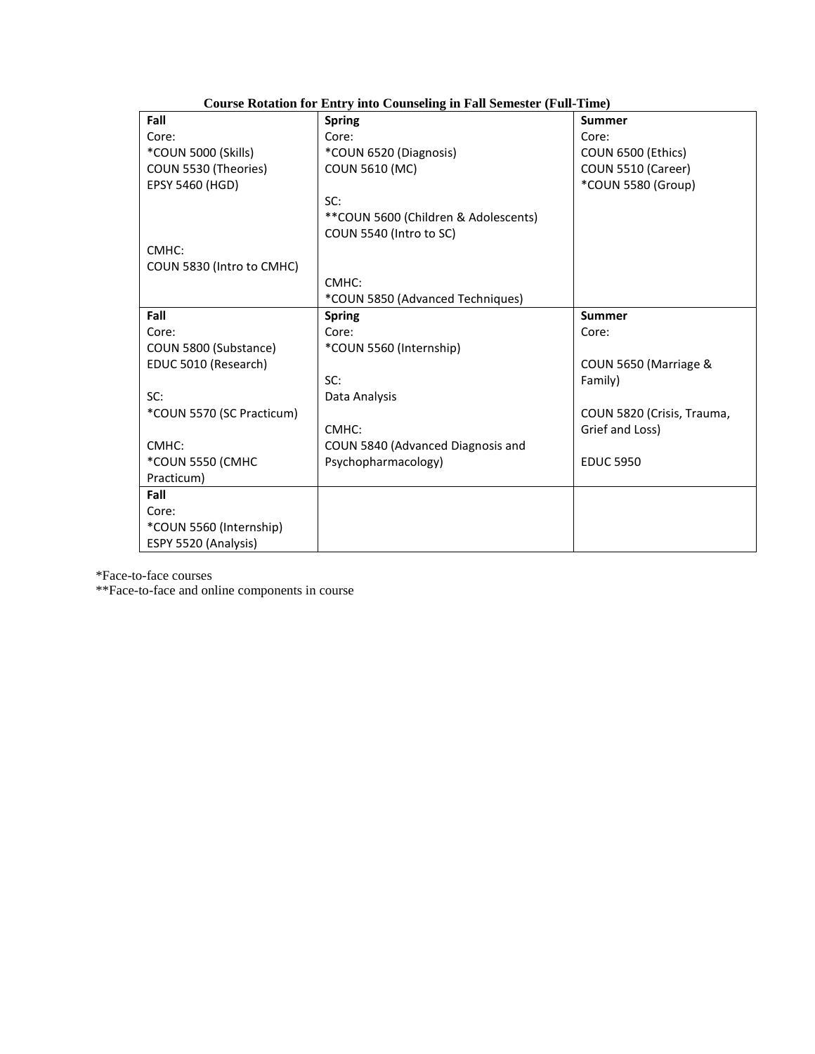| Course Rotation for Entry mo Counseling in Fall Semester (Full-Time) |                                      |                            |  |
|----------------------------------------------------------------------|--------------------------------------|----------------------------|--|
| Fall                                                                 | <b>Spring</b>                        | Summer                     |  |
| Core:                                                                | Core:                                | Core:                      |  |
| *COUN 5000 (Skills)                                                  | *COUN 6520 (Diagnosis)               | COUN 6500 (Ethics)         |  |
| COUN 5530 (Theories)                                                 | <b>COUN 5610 (MC)</b>                | COUN 5510 (Career)         |  |
| <b>EPSY 5460 (HGD)</b>                                               |                                      | *COUN 5580 (Group)         |  |
|                                                                      | SC:                                  |                            |  |
|                                                                      | **COUN 5600 (Children & Adolescents) |                            |  |
|                                                                      | COUN 5540 (Intro to SC)              |                            |  |
| CMHC:                                                                |                                      |                            |  |
| COUN 5830 (Intro to CMHC)                                            |                                      |                            |  |
|                                                                      | CMHC:                                |                            |  |
|                                                                      | *COUN 5850 (Advanced Techniques)     |                            |  |
| Fall                                                                 | <b>Spring</b>                        | Summer                     |  |
| Core:                                                                | Core:                                | Core:                      |  |
| COUN 5800 (Substance)                                                | *COUN 5560 (Internship)              |                            |  |
| EDUC 5010 (Research)                                                 |                                      | COUN 5650 (Marriage &      |  |
|                                                                      | SC:                                  | Family)                    |  |
| SC:                                                                  | Data Analysis                        |                            |  |
| *COUN 5570 (SC Practicum)                                            |                                      | COUN 5820 (Crisis, Trauma, |  |
|                                                                      | CMHC:                                | Grief and Loss)            |  |
| CMHC:                                                                | COUN 5840 (Advanced Diagnosis and    |                            |  |
| *COUN 5550 (CMHC                                                     | Psychopharmacology)                  | <b>EDUC 5950</b>           |  |
| Practicum)                                                           |                                      |                            |  |
| Fall                                                                 |                                      |                            |  |
| Core:                                                                |                                      |                            |  |
| *COUN 5560 (Internship)                                              |                                      |                            |  |
| ESPY 5520 (Analysis)                                                 |                                      |                            |  |

## **Course Rotation for Entry into Counseling in Fall Semester (Full-Time)**

\*Face-to-face courses

\*\*Face-to-face and online components in course